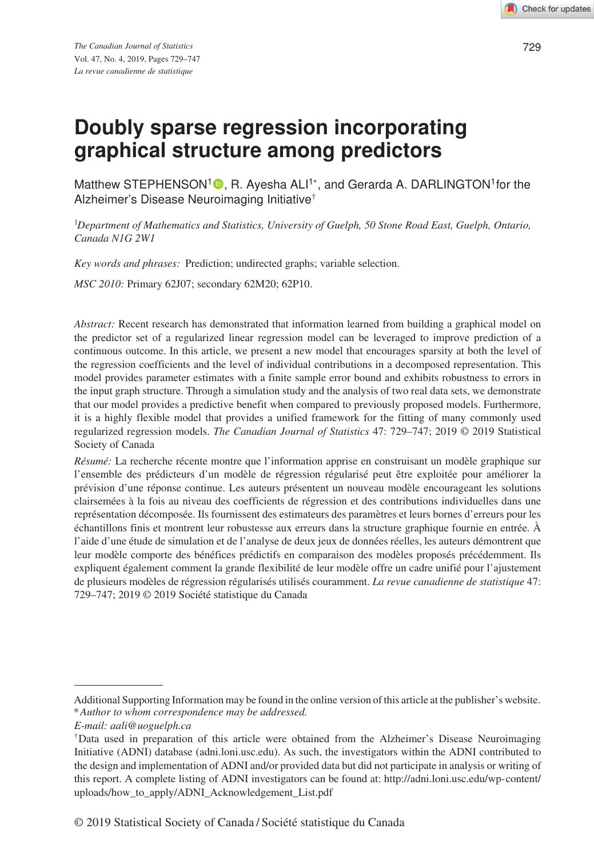# **Doubly sparse regression incorporating graphical structure among predictors**

Matthew STEPHENSON<sup>[1](http://orcid.org/0000-0001-7681-3196)</sup><sup>®</sup>, R. Ayesha ALI<sup>1\*</sup>, and Gerarda A. DARLINGTON<sup>1</sup>for the Alzheimer's Disease Neuroimaging Initiative†

1 *Department of Mathematics and Statistics, University of Guelph, 50 Stone Road East, Guelph, Ontario, Canada N1G 2W1*

*Key words and phrases:* Prediction; undirected graphs; variable selection.

*MSC 2010:* Primary 62J07; secondary 62M20; 62P10.

*Abstract:* Recent research has demonstrated that information learned from building a graphical model on the predictor set of a regularized linear regression model can be leveraged to improve prediction of a continuous outcome. In this article, we present a new model that encourages sparsity at both the level of the regression coefficients and the level of individual contributions in a decomposed representation. This model provides parameter estimates with a finite sample error bound and exhibits robustness to errors in the input graph structure. Through a simulation study and the analysis of two real data sets, we demonstrate that our model provides a predictive benefit when compared to previously proposed models. Furthermore, it is a highly flexible model that provides a unified framework for the fitting of many commonly used regularized regression models. *The Canadian Journal of Statistics* 47: 729–747; 2019 © 2019 Statistical Society of Canada

*Résumé:* La recherche récente montre que l'information apprise en construisant un modèle graphique sur l'ensemble des prédicteurs d'un modèle de régression régularisé peut être exploitée pour améliorer la prévision d'une réponse continue. Les auteurs présentent un nouveau modèle encourageant les solutions clairsemées à la fois au niveau des coefficients de régression et des contributions individuelles dans une représentation décomposée. Ils fournissent des estimateurs des paramètres et leurs bornes d'erreurs pour les échantillons finis et montrent leur robustesse aux erreurs dans la structure graphique fournie en entrée. À l'aide d'une étude de simulation et de l'analyse de deux jeux de données réelles, les auteurs démontrent que leur modèle comporte des bénéfices prédictifs en comparaison des modèles proposés précédemment. Ils expliquent également comment la grande flexibilité de leur modèle offre un cadre unifié pour l'ajustement de plusieurs modèles de régression régularisés utilisés couramment. *La revue canadienne de statistique* 47: 729–747; 2019 © 2019 Société statistique du Canada

© 2019 Statistical Society of Canada / Société statistique du Canada

Additional Supporting Information may be found in the online version of this article at the publisher's website. *\* Author to whom correspondence may be addressed.*

*E-mail: aali@uoguelph.ca*

<sup>†</sup>Data used in preparation of this article were obtained from the Alzheimer's Disease Neuroimaging Initiative (ADNI) database [\(adni.loni.usc.edu\)](adni.loni.usc.edu). As such, the investigators within the ADNI contributed to the design and implementation of ADNI and/or provided data but did not participate in analysis or writing of this report. A complete listing of ADNI investigators can be found at: [http://adni.loni.usc.edu/wp-content/](http://adni.loni.usc.edu/wp-content/uploads/how_to_apply/ADNI_Acknowledgement_List.pdf) [uploads/how\\_to\\_apply/ADNI\\_Acknowledgement\\_List.pdf](http://adni.loni.usc.edu/wp-content/uploads/how_to_apply/ADNI_Acknowledgement_List.pdf)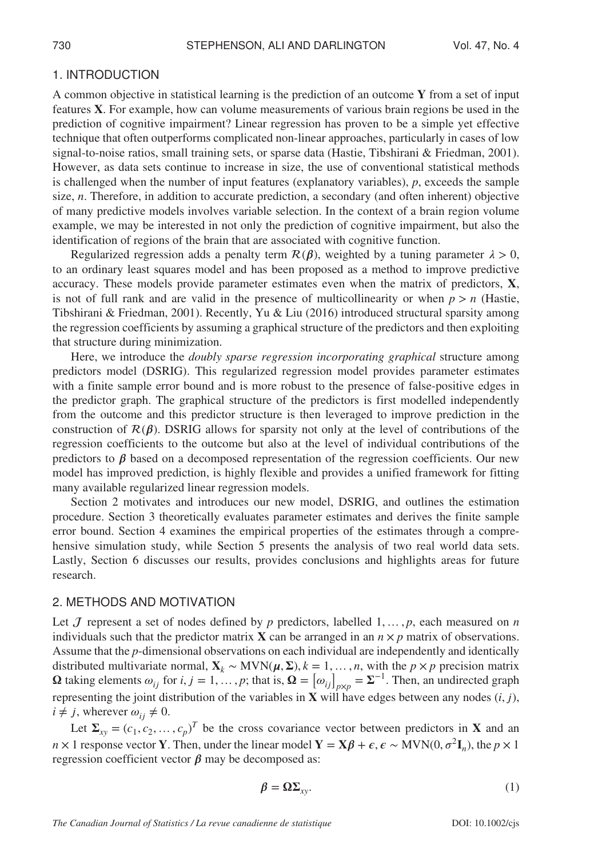#### 1. INTRODUCTION

A common objective in statistical learning is the prediction of an outcome  $Y$  from a set of input features X. For example, how can volume measurements of various brain regions be used in the prediction of cognitive impairment? Linear regression has proven to be a simple yet effective technique that often outperforms complicated non-linear approaches, particularly in cases of low signal-to-noise ratios, small training sets, or sparse data (Hastie, Tibshirani & Friedman, 2001). However, as data sets continue to increase in size, the use of conventional statistical methods is challenged when the number of input features (explanatory variables), *p*, exceeds the sample size, *n*. Therefore, in addition to accurate prediction, a secondary (and often inherent) objective of many predictive models involves variable selection. In the context of a brain region volume example, we may be interested in not only the prediction of cognitive impairment, but also the identification of regions of the brain that are associated with cognitive function.

Regularized regression adds a penalty term  $\mathcal{R}(\beta)$ , weighted by a tuning parameter  $\lambda > 0$ , to an ordinary least squares model and has been proposed as a method to improve predictive accuracy. These models provide parameter estimates even when the matrix of predictors,  $X$ , is not of full rank and are valid in the presence of multicollinearity or when  $p > n$  (Hastie, Tibshirani & Friedman, 2001). Recently, Yu & Liu (2016) introduced structural sparsity among the regression coefficients by assuming a graphical structure of the predictors and then exploiting that structure during minimization.

Here, we introduce the *doubly sparse regression incorporating graphical* structure among predictors model (DSRIG). This regularized regression model provides parameter estimates with a finite sample error bound and is more robust to the presence of false-positive edges in the predictor graph. The graphical structure of the predictors is first modelled independently from the outcome and this predictor structure is then leveraged to improve prediction in the construction of  $\mathcal{R}(\beta)$ . DSRIG allows for sparsity not only at the level of contributions of the regression coefficients to the outcome but also at the level of individual contributions of the predictors to  $\beta$  based on a decomposed representation of the regression coefficients. Our new model has improved prediction, is highly flexible and provides a unified framework for fitting many available regularized linear regression models.

Section 2 motivates and introduces our new model, DSRIG, and outlines the estimation procedure. Section 3 theoretically evaluates parameter estimates and derives the finite sample error bound. Section 4 examines the empirical properties of the estimates through a comprehensive simulation study, while Section 5 presents the analysis of two real world data sets. Lastly, Section 6 discusses our results, provides conclusions and highlights areas for future research.

### 2. METHODS AND MOTIVATION

Let  $J$  represent a set of nodes defined by  $p$  predictors, labelled  $1, \ldots, p$ , each measured on  $n$ individuals such that the predictor matrix **X** can be arranged in an  $n \times p$  matrix of observations. Assume that the *p*-dimensional observations on each individual are independently and identically distributed multivariate normal,  $\mathbf{X}_k$  ∼ MVN( $\boldsymbol{\mu}, \boldsymbol{\Sigma}$ ),  $k = 1, ..., n$ , with the *p* × *p* precision matrix  $\Omega$  taking elements  $\omega_{ij}$  for  $i, j = 1, \ldots, p$ ; that is,  $\Omega = [\omega_{ij}]_{p \times p} = \Sigma^{-1}$ . Then, an undirected graph representing the joint distribution of the variables in  $X$  will have edges between any nodes  $(i, j)$ ,  $i \neq j$ , wherever  $\omega_{ii} \neq 0$ .

Let  $\Sigma_{xy} = (c_1, c_2, \dots, c_p)^T$  be the cross covariance vector between predictors in **X** and an *n* × 1 response vector **Y**. Then, under the linear model **Y** = **X** $\beta$  +  $\epsilon$ ,  $\epsilon$  ~ **MVN**(0,  $\sigma^2$ **I**<sub>n</sub>), the *p* × 1 regression coefficient vector  $\beta$  may be decomposed as:

$$
\beta = \Omega \Sigma_{xy}.
$$
 (1)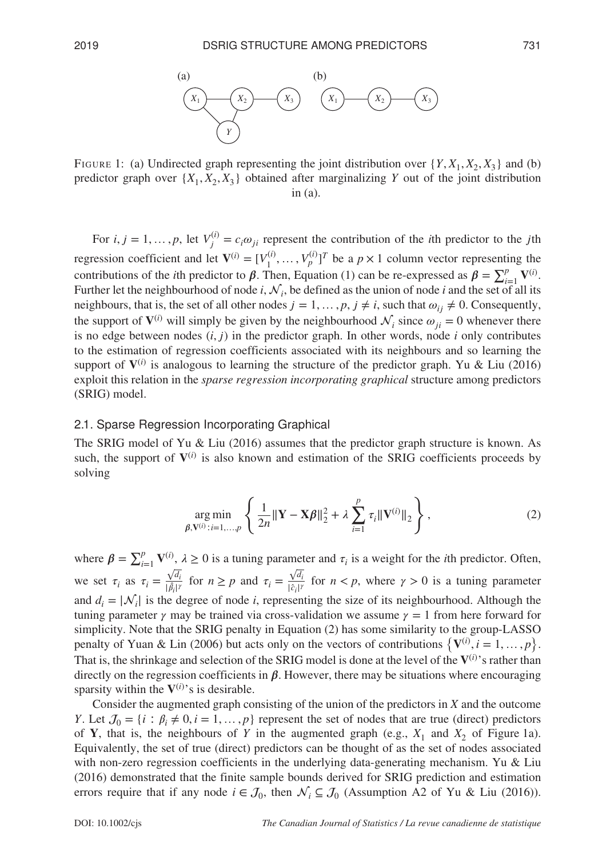

FIGURE 1: (a) Undirected graph representing the joint distribution over  $\{Y, X_1, X_2, X_3\}$  and (b) predictor graph over  $\{X_1, X_2, X_3\}$  obtained after marginalizing *Y* out of the joint distribution in  $(a)$ .

For  $i, j = 1, ..., p$ , let  $V_j^{(i)} = c_i \omega_{ji}$  represent the contribution of the *i*th predictor to the *j*th regression coefficient and let  $\mathbf{V}^{(i)} = [V_1^{(i)}, \dots, V_p^{(i)}]^T$  be a  $p \times 1$  column vector representing the contributions of the *i*th predictor to  $\beta$ . Then, Equation (1) can be re-expressed as  $\beta = \sum_{i=1}^{p} V^{(i)}$ . Further let the neighbourhood of node *i*,  $\mathcal{N}_i$ , be defined as the union of node *i* and the set of all its neighbours, that is, the set of all other nodes  $j = 1, \ldots, p, j \neq i$ , such that  $\omega_{ij} \neq 0$ . Consequently, the support of  $V^{(i)}$  will simply be given by the neighbourhood  $\mathcal{N}_i$  since  $\omega_{ii} = 0$  whenever there is no edge between nodes  $(i, j)$  in the predictor graph. In other words, node *i* only contributes to the estimation of regression coefficients associated with its neighbours and so learning the support of  $V^{(i)}$  is analogous to learning the structure of the predictor graph. Yu & Liu (2016) exploit this relation in the *sparse regression incorporating graphical* structure among predictors (SRIG) model.

#### 2.1. Sparse Regression Incorporating Graphical

The SRIG model of Yu & Liu (2016) assumes that the predictor graph structure is known. As such, the support of  $V^{(i)}$  is also known and estimation of the SRIG coefficients proceeds by solving

$$
\underset{\beta, \mathbf{V}^{(i)}: i=1,\dots,p}{\arg \min} \left\{ \frac{1}{2n} \|\mathbf{Y} - \mathbf{X}\beta\|_{2}^{2} + \lambda \sum_{i=1}^{p} \tau_{i} \|\mathbf{V}^{(i)}\|_{2} \right\},
$$
\n(2)

where  $\beta = \sum_{i=1}^{p} V^{(i)}$ ,  $\lambda \ge 0$  is a tuning parameter and  $\tau_i$  is a weight for the *i*th predictor. Often, we set  $\tau_i$  as  $\tau_i = \frac{\sqrt{d_i}}{|\hat{\beta}_i|}$  $\frac{\sqrt{d_i}}{\left|\hat{\beta}_i\right|^\gamma}$  for  $n \ge p$  and  $\tau_i = \frac{\sqrt{d_i}}{\left|\hat{c}_i\right|^\gamma}$  for  $n < p$ , where  $\gamma > 0$  is a tuning parameter and  $d_i = |\mathcal{N}_i|$  is the degree of node *i*, representing the size of its neighbourhood. Although the tuning parameter  $\gamma$  may be trained via cross-validation we assume  $\gamma = 1$  from here forward for simplicity. Note that the SRIG penalty in Equation (2) has some similarity to the group-LASSO penalty of Yuan & Lin (2006) but acts only on the vectors of contributions  $\{V^{(i)}, i = 1, ..., p\}$ . That is, the shrinkage and selection of the SRIG model is done at the level of the  $V^{(i)}$ 's rather than directly on the regression coefficients in  $\beta$ . However, there may be situations where encouraging sparsity within the  $V^{(i)}$ 's is desirable.

Consider the augmented graph consisting of the union of the predictors in *X* and the outcome *Y*. Let  $\mathcal{J}_0 = \{i : \beta_i \neq 0, i = 1, \ldots, p\}$  represent the set of nodes that are true (direct) predictors of **Y**, that is, the neighbours of *Y* in the augmented graph (e.g.,  $X_1$  and  $X_2$  of Figure 1a). Equivalently, the set of true (direct) predictors can be thought of as the set of nodes associated with non-zero regression coefficients in the underlying data-generating mechanism. Yu & Liu (2016) demonstrated that the finite sample bounds derived for SRIG prediction and estimation errors require that if any node  $i \in \mathcal{J}_0$ , then  $\mathcal{N}_i \subseteq \mathcal{J}_0$  (Assumption A2 of Yu & Liu (2016)).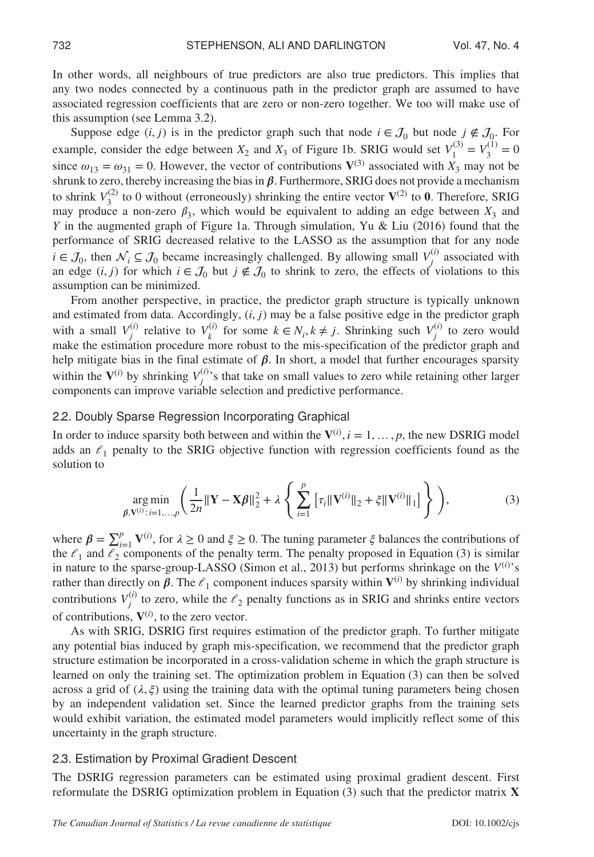In other words, all neighbours of true predictors are also true predictors. This implies that any two nodes connected by a continuous path in the predictor graph are assumed to have associated regression coefficients that are zero or non-zero together. We too will make use of this assumption (see Lemma 3.2).

Suppose edge  $(i, j)$  is in the predictor graph such that node  $i \in \mathcal{J}_0$  but node  $j \notin \mathcal{J}_0$ . For example, consider the edge between  $X_2$  and  $X_3$  of Figure 1b. SRIG would set  $V_1^{(3)} = V_3^{(1)} = 0$ since  $\omega_{13} = \omega_{31} = 0$ . However, the vector of contributions  $V^{(3)}$  associated with  $X_3$  may not be shrunk to zero, thereby increasing the bias in  $\beta$ . Furthermore, SRIG does not provide a mechanism to shrink  $V_3^{(2)}$  to 0 without (erroneously) shrinking the entire vector  $V^{(2)}$  to 0. Therefore, SRIG may produce a non-zero  $\beta_3$ , which would be equivalent to adding an edge between  $X_3$  and *Y* in the augmented graph of Figure 1a. Through simulation, Yu & Liu (2016) found that the performance of SRIG decreased relative to the LASSO as the assumption that for any node *i* ∈  $\mathcal{J}_0$ , then  $\mathcal{N}_i$  ⊆  $\mathcal{J}_0$  became increasingly challenged. By allowing small  $V_j^{(i)}$  associated with an edge  $(i, j)$  for which  $i \in \mathcal{J}_0$  but  $j \notin \mathcal{J}_0$  to shrink to zero, the effects of violations to this assumption can be minimized.

From another perspective, in practice, the predictor graph structure is typically unknown and estimated from data. Accordingly, (*i,* ) may be a false positive edge in the predictor graph with a small  $V_j^{(i)}$  relative to  $V_k^{(i)}$  for some  $k \in N_i, k \neq j$ . Shrinking such  $V_j^{(i)}$  to zero would make the estimation procedure more robust to the mis-specification of the predictor graph and help mitigate bias in the final estimate of  $\beta$ . In short, a model that further encourages sparsity within the  $V^{(i)}$  by shrinking  $V_j^{(i)}$ 's that take on small values to zero while retaining other larger components can improve variable selection and predictive performance.

#### 2.2. Doubly Sparse Regression Incorporating Graphical

In order to induce sparsity both between and within the  $V^{(i)}$ ,  $i = 1, ..., p$ , the new DSRIG model adds an  $\ell_1$  penalty to the SRIG objective function with regression coefficients found as the solution to

$$
\underset{\beta, \mathbf{V}^{(i)}: i=1,\dots,p}{\arg \min} \left( \frac{1}{2n} \|\mathbf{Y} - \mathbf{X}\beta\|_{2}^{2} + \lambda \left\{ \sum_{i=1}^{p} \left[ \tau_{i} \|\mathbf{V}^{(i)}\|_{2} + \xi \|\mathbf{V}^{(i)}\|_{1} \right] \right\} \right),\tag{3}
$$

where  $\beta = \sum_{i=1}^{p} V^{(i)}$ , for  $\lambda \ge 0$  and  $\xi \ge 0$ . The tuning parameter  $\xi$  balances the contributions of the  $\ell_1$  and  $\ell_2$  components of the penalty term. The penalty proposed in Equation (3) is similar in nature to the sparse-group-LASSO (Simon et al., 2013) but performs shrinkage on the  $V^{(i)}$ 's rather than directly on  $\beta$ . The  $\ell_1$  component induces sparsity within  $V^{(i)}$  by shrinking individual contributions  $V_j^{(i)}$  to zero, while the  $\ell_2$  penalty functions as in SRIG and shrinks entire vectors of contributions,  $V^{(i)}$ , to the zero vector.

As with SRIG, DSRIG first requires estimation of the predictor graph. To further mitigate any potential bias induced by graph mis-specification, we recommend that the predictor graph structure estimation be incorporated in a cross-validation scheme in which the graph structure is learned on only the training set. The optimization problem in Equation (3) can then be solved across a grid of  $(\lambda, \xi)$  using the training data with the optimal tuning parameters being chosen by an independent validation set. Since the learned predictor graphs from the training sets would exhibit variation, the estimated model parameters would implicitly reflect some of this uncertainty in the graph structure.

## 2.3. Estimation by Proximal Gradient Descent

The DSRIG regression parameters can be estimated using proximal gradient descent. First reformulate the DSRIG optimization problem in Equation  $(3)$  such that the predictor matrix **X**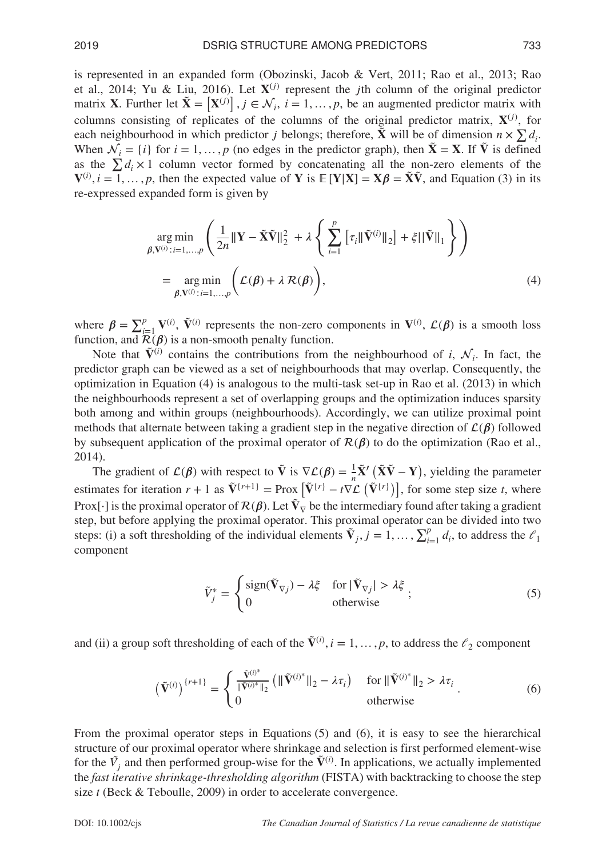is represented in an expanded form (Obozinski, Jacob & Vert, 2011; Rao et al., 2013; Rao et al., 2014; Yu & Liu, 2016). Let  $X^{(j)}$  represent the jth column of the original predictor matrix **X**. Further let  $\tilde{\mathbf{X}} = [\mathbf{X}^{(j)}]$ ,  $j \in \mathcal{N}_i$ ,  $i = 1, ..., p$ , be an augmented predictor matrix with columns consisting of replicates of the columns of the original predictor matrix,  $X^{(j)}$ , for each neighbourhood in which predictor *j* belongs; therefore,  $\tilde{\mathbf{X}}$  will be of dimension  $n \times \sum d_i$ . When  $\mathcal{N}_i = \{i\}$  for  $i = 1, \ldots, p$  (no edges in the predictor graph), then  $\tilde{\mathbf{X}} = \mathbf{X}$ . If  $\tilde{\mathbf{V}}$  is defined as the  $\sum d_i \times 1$  column vector formed by concatenating all the non-zero elements of the  $\mathbf{V}^{(i)}$ ,  $i = 1, ..., p$ , then the expected value of Y is  $\mathbb{E}[\mathbf{Y}|\mathbf{X}] = \mathbf{X}\boldsymbol{\beta} = \tilde{\mathbf{X}}\tilde{\mathbf{V}}$ , and Equation (3) in its re-expressed expanded form is given by

$$
\arg\min_{\beta, \mathbf{V}^{(i)} : i=1,\dots,p} \left( \frac{1}{2n} \|\mathbf{Y} - \tilde{\mathbf{X}}\tilde{\mathbf{V}}\|_{2}^{2} + \lambda \left\{ \sum_{i=1}^{p} \left[ \tau_{i} \|\tilde{\mathbf{V}}^{(i)}\|_{2} \right] + \xi \|\tilde{\mathbf{V}}\|_{1} \right\} \right)
$$
\n
$$
= \arg\min_{\beta, \mathbf{V}^{(i)} : i=1,\dots,p} \left( \mathcal{L}(\beta) + \lambda \mathcal{R}(\beta) \right), \tag{4}
$$

where  $\beta = \sum_{i=1}^p V^{(i)}$ ,  $\tilde{V}^{(i)}$  represents the non-zero components in  $V^{(i)}$ ,  $\mathcal{L}(\beta)$  is a smooth loss function, and  $\mathcal{R}(\boldsymbol{\beta})$  is a non-smooth penalty function.

Note that  $\tilde{V}^{(i)}$  contains the contributions from the neighbourhood of *i*,  $\mathcal{N}_i$ . In fact, the predictor graph can be viewed as a set of neighbourhoods that may overlap. Consequently, the optimization in Equation (4) is analogous to the multi-task set-up in Rao et al. (2013) in which the neighbourhoods represent a set of overlapping groups and the optimization induces sparsity both among and within groups (neighbourhoods). Accordingly, we can utilize proximal point methods that alternate between taking a gradient step in the negative direction of  $\mathcal{L}(\boldsymbol{\beta})$  followed by subsequent application of the proximal operator of  $\mathcal{R}(\beta)$  to do the optimization (Rao et al., 2014).

The gradient of  $\mathcal{L}(\beta)$  with respect to  $\tilde{V}$  is  $\nabla \mathcal{L}(\beta) = \frac{1}{n}\tilde{X}' (\tilde{X}\tilde{V} - Y)$ , yielding the parameter estimates for iteration  $r + 1$  as  $\tilde{V}^{r+1} = \text{Prox } [\tilde{V}^{r}] - t \nabla \mathcal{L} (\tilde{V}^{r})]$ , for some step size *t*, where Prox[⋅] is the proximal operator of  $\mathcal{R}(\beta)$ . Let  $\tilde{V}_\nabla$  be the intermediary found after taking a gradient step, but before applying the proximal operator. This proximal operator can be divided into two steps: (i) a soft thresholding of the individual elements  $\tilde{V}_j$ ,  $j = 1, ..., \sum_{i=1}^p d_i$ , to address the  $\ell_1$ component

$$
\tilde{V}_j^* = \begin{cases}\n\text{sign}(\tilde{\mathbf{V}}_{\nabla j}) - \lambda \xi & \text{for } |\tilde{\mathbf{V}}_{\nabla j}| > \lambda \xi \\
0 & \text{otherwise}\n\end{cases};
$$
\n(5)

and (ii) a group soft thresholding of each of the  $\tilde{V}^{(i)}$ ,  $i = 1, ..., p$ , to address the  $\ell_2$  component

$$
\left(\tilde{\mathbf{V}}^{(i)}\right)^{\{r+1\}} = \begin{cases} \frac{\tilde{\mathbf{V}}^{(i)^*}}{\|\tilde{\mathbf{V}}^{(i)^*}\|_2} \left(\|\tilde{\mathbf{V}}^{(i)^*}\|_2 - \lambda \tau_i\right) & \text{for } \|\tilde{\mathbf{V}}^{(i)^*}\|_2 > \lambda \tau_i \\ 0 & \text{otherwise} \end{cases} \tag{6}
$$

From the proximal operator steps in Equations (5) and (6), it is easy to see the hierarchical structure of our proximal operator where shrinkage and selection is first performed element-wise for the  $\tilde{V}_j$  and then performed group-wise for the  $\tilde{V}^{(i)}$ . In applications, we actually implemented the *fast iterative shrinkage-thresholding algorithm* (FISTA) with backtracking to choose the step size *t* (Beck & Teboulle, 2009) in order to accelerate convergence.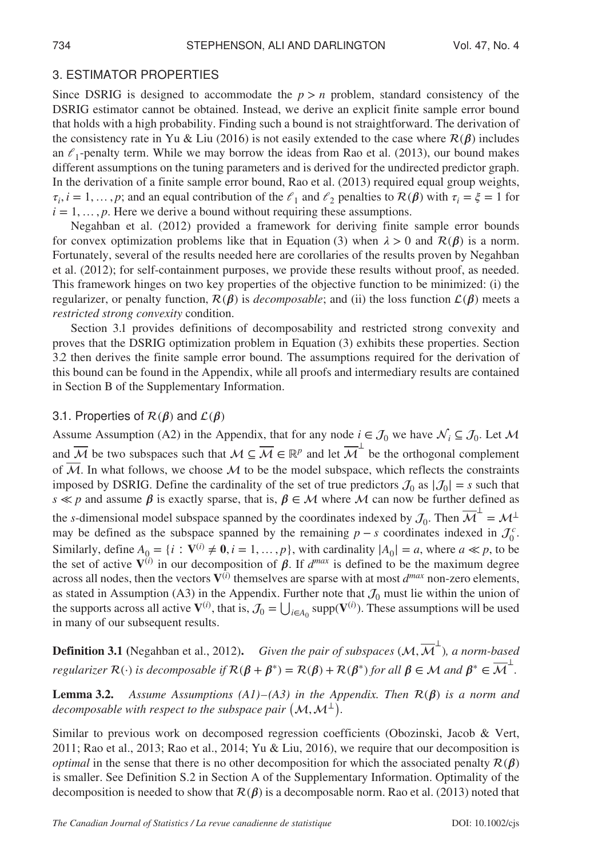# 3. ESTIMATOR PROPERTIES

Since DSRIG is designed to accommodate the  $p > n$  problem, standard consistency of the DSRIG estimator cannot be obtained. Instead, we derive an explicit finite sample error bound that holds with a high probability. Finding such a bound is not straightforward. The derivation of the consistency rate in Yu & Liu (2016) is not easily extended to the case where  $\mathcal{R}(\beta)$  includes an  $\ell_1$ -penalty term. While we may borrow the ideas from Rao et al. (2013), our bound makes different assumptions on the tuning parameters and is derived for the undirected predictor graph. In the derivation of a finite sample error bound, Rao et al. (2013) required equal group weights,  $\tau_i$ ,  $i = 1, \ldots, p$ ; and an equal contribution of the  $\ell_1$  and  $\ell_2$  penalties to  $\mathcal{R}(\beta)$  with  $\tau_i = \xi = 1$  for  $i = 1, \ldots, p$ . Here we derive a bound without requiring these assumptions.

Negahban et al. (2012) provided a framework for deriving finite sample error bounds for convex optimization problems like that in Equation (3) when  $\lambda > 0$  and  $\mathcal{R}(\beta)$  is a norm. Fortunately, several of the results needed here are corollaries of the results proven by Negahban et al. (2012); for self-containment purposes, we provide these results without proof, as needed. This framework hinges on two key properties of the objective function to be minimized: (i) the regularizer, or penalty function,  $\mathcal{R}(\beta)$  is *decomposable*; and (ii) the loss function  $\mathcal{L}(\beta)$  meets a *restricted strong convexity* condition.

Section 3.1 provides definitions of decomposability and restricted strong convexity and proves that the DSRIG optimization problem in Equation (3) exhibits these properties. Section 3.2 then derives the finite sample error bound. The assumptions required for the derivation of this bound can be found in the Appendix, while all proofs and intermediary results are contained in Section B of the Supplementary Information.

## 3.1. Properties of  $\mathcal{R}(\beta)$  and  $\mathcal{L}(\beta)$

Assume Assumption (A2) in the Appendix, that for any node  $i \in \mathcal{J}_0$  we have  $\mathcal{N}_i \subseteq \mathcal{J}_0$ . Let M and  $\overline{\mathcal{M}}$  be two subspaces such that  $\mathcal{M} \subseteq \overline{\mathcal{M}} \in \mathbb{R}^p$  and let  $\overline{\mathcal{M}}^{\perp}$  be the orthogonal complement of  $\overline{\mathcal{M}}$ . In what follows, we choose  $\mathcal M$  to be the model subspace, which reflects the constraints imposed by DSRIG. Define the cardinality of the set of true predictors  $\mathcal{J}_0$  as  $|\mathcal{J}_0| = s$  such that  $s \ll p$  and assume  $\beta$  is exactly sparse, that is,  $\beta \in M$  where M can now be further defined as the *s*-dimensional model subspace spanned by the coordinates indexed by  $\mathcal{J}_0$ . Then  $\overline{\mathcal{M}}^{\perp} = \mathcal{M}^{\perp}$ may be defined as the subspace spanned by the remaining  $p - s$  coordinates indexed in  $\mathcal{J}_0^c$ . Similarly, define  $A_0 = \{i : \mathbf{V}^{(i)} \neq \mathbf{0}, i = 1, \dots, p\}$ , with cardinality  $|A_0| = a$ , where  $a \ll p$ , to be the set of active  $V^{(i)}$  in our decomposition of  $\beta$ . If  $d^{max}$  is defined to be the maximum degree across all nodes, then the vectors  $V^{(i)}$  themselves are sparse with at most  $d^{max}$  non-zero elements, as stated in Assumption (A3) in the Appendix. Further note that  $J_0$  must lie within the union of the supports across all active  $V^{(i)}$ , that is,  $J_0 = \bigcup_{i \in A_0} \text{supp}(V^{(i)})$ . These assumptions will be used in many of our subsequent results.

**Definition 3.1** (Negahban et al., 2012). *Given the pair of subspaces* (*M*,  $\overline{M}^{\perp}$ ), *a norm-based regularizer*  $\mathcal{R}(\cdot)$  *is decomposable if*  $\mathcal{R}(\beta + \beta^*) = \mathcal{R}(\beta) + \mathcal{R}(\beta^*)$  *for all*  $\beta \in \mathcal{M}$  *and*  $\beta^* \in \overline{\mathcal{M}}^{\perp}$ *.* 

**Lemma 3.2.** *Assume Assumptions (A1)–(A3) in the Appendix. Then*  $\mathcal{R}(\beta)$  *is a norm and decomposable with respect to the subspace pair*  $(\mathcal{M}, \mathcal{M}^{\perp})$ .

Similar to previous work on decomposed regression coefficients (Obozinski, Jacob & Vert, 2011; Rao et al., 2013; Rao et al., 2014; Yu & Liu, 2016), we require that our decomposition is *optimal* in the sense that there is no other decomposition for which the associated penalty  $\mathcal{R}(\beta)$ is smaller. See Definition S.2 in Section A of the Supplementary Information. Optimality of the decomposition is needed to show that  $\mathcal{R}(\beta)$  is a decomposable norm. Rao et al. (2013) noted that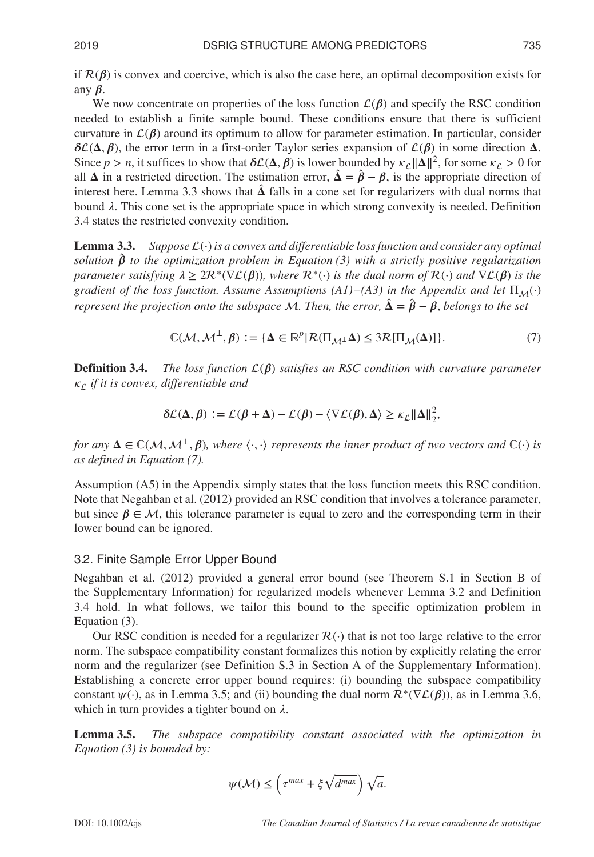if  $\mathcal{R}(\beta)$  is convex and coercive, which is also the case here, an optimal decomposition exists for any  $\beta$ .

We now concentrate on properties of the loss function  $\mathcal{L}(\beta)$  and specify the RSC condition needed to establish a finite sample bound. These conditions ensure that there is sufficient curvature in  $\mathcal{L}(\beta)$  around its optimum to allow for parameter estimation. In particular, consider  $\delta\mathcal{L}(\Delta,\beta)$ , the error term in a first-order Taylor series expansion of  $\mathcal{L}(\beta)$  in some direction  $\Delta$ . Since  $p > n$ , it suffices to show that  $\delta\mathcal{L}(\Delta, \beta)$  is lower bounded by  $\kappa_{\mathcal{L}} ||\Delta||^2$ , for some  $\kappa_{\mathcal{L}} > 0$  for all  $\Delta$  in a restricted direction. The estimation error,  $\hat{\Delta} = \hat{\beta} - \beta$ , is the appropriate direction of interest here. Lemma 3.3 shows that  $\hat{\Delta}$  falls in a cone set for regularizers with dual norms that bound  $\lambda$ . This cone set is the appropriate space in which strong convexity is needed. Definition 3.4 states the restricted convexity condition.

Lemma 3.3. *Suppose* (⋅) *is a convex and differentiable loss function and consider any optimal solution*  $\beta$  *to the optimization problem in Equation* (3) with a strictly positive regularization *parameter satisfying*  $\lambda \geq 2\mathcal{R}^*(\nabla \mathcal{L}(\beta))$ *, where*  $\mathcal{R}^*(\cdot)$  *is the dual norm of*  $\mathcal{R}(\cdot)$  *and*  $\nabla \mathcal{L}(\beta)$  *is the gradient of the loss function. Assume Assumptions (A1)–(A3) in the Appendix and let*  $\Pi_M(\cdot)$ *represent the projection onto the subspace M*. Then, the error,  $\hat{\Delta} = \hat{\beta} - \beta$ , belongs to the set

$$
\mathbb{C}(\mathcal{M}, \mathcal{M}^{\perp}, \beta) := \{ \Delta \in \mathbb{R}^p | \mathcal{R}(\Pi_{\mathcal{M}^{\perp}} \Delta) \leq 3\mathcal{R}[\Pi_{\mathcal{M}}(\Delta)] \}. \tag{7}
$$

**Definition 3.4.** *The loss function*  $\mathcal{L}(\beta)$  *satisfies an RSC condition with curvature parameter if it is convex, differentiable and*

$$
\delta \mathcal{L}(\Delta, \beta) := \mathcal{L}(\beta + \Delta) - \mathcal{L}(\beta) - \langle \nabla \mathcal{L}(\beta), \Delta \rangle \ge \kappa_{\mathcal{L}} ||\Delta||_2^2,
$$

*for any*  $\Delta \in \mathbb{C}(\mathcal{M}, \mathcal{M}^{\perp}, \beta)$ , where  $\langle \cdot, \cdot \rangle$  represents the inner product of two vectors and  $\mathbb{C}(\cdot)$  is *as defined in Equation (7).*

Assumption (A5) in the Appendix simply states that the loss function meets this RSC condition. Note that Negahban et al. (2012) provided an RSC condition that involves a tolerance parameter, but since  $\beta \in M$ , this tolerance parameter is equal to zero and the corresponding term in their lower bound can be ignored.

#### 3.2. Finite Sample Error Upper Bound

Negahban et al. (2012) provided a general error bound (see Theorem S.1 in Section B of the Supplementary Information) for regularized models whenever Lemma 3.2 and Definition 3.4 hold. In what follows, we tailor this bound to the specific optimization problem in Equation (3).

Our RSC condition is needed for a regularizer  $\mathcal{R}(\cdot)$  that is not too large relative to the error norm. The subspace compatibility constant formalizes this notion by explicitly relating the error norm and the regularizer (see Definition S.3 in Section A of the Supplementary Information). Establishing a concrete error upper bound requires: (i) bounding the subspace compatibility constant  $\psi(\cdot)$ , as in Lemma 3.5; and (ii) bounding the dual norm  $\mathcal{R}^*(\nabla \mathcal{L}(\beta))$ , as in Lemma 3.6, which in turn provides a tighter bound on  $\lambda$ .

Lemma 3.5. *The subspace compatibility constant associated with the optimization in Equation (3) is bounded by:*

$$
\psi(\mathcal{M}) \le \left(\tau^{max} + \xi \sqrt{d^{max}}\right) \sqrt{a}.
$$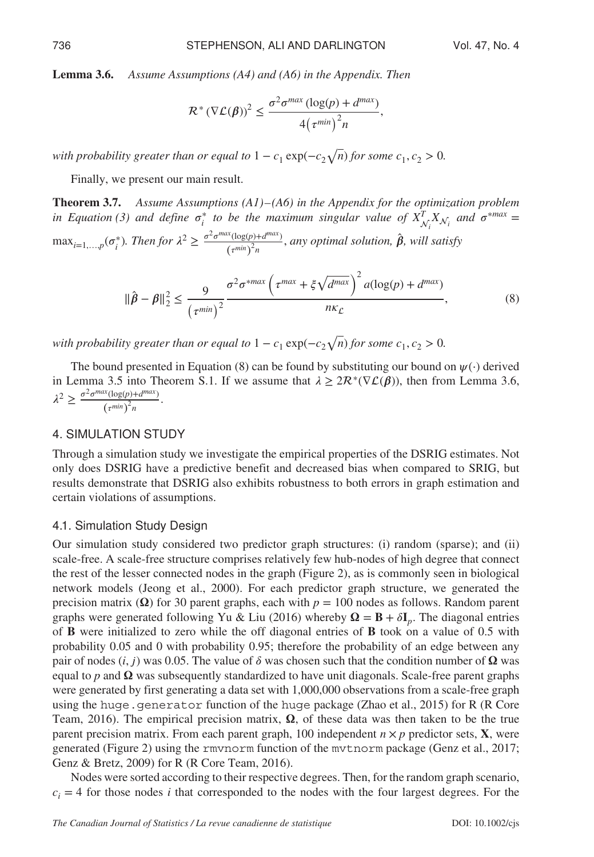Lemma 3.6. *Assume Assumptions (A4) and (A6) in the Appendix. Then*

$$
\mathcal{R}^*(\nabla \mathcal{L}(\beta))^2 \leq \frac{\sigma^2 \sigma^{max} (\log(p) + d^{max})}{4(\tau^{min})^2 n},
$$

*with probability greater than or equal to*  $1 - c_1 \exp(-c_2 \sqrt{n})$  *for some*  $c_1, c_2 > 0$ *.* 

Finally, we present our main result.

Theorem 3.7. *Assume Assumptions (A1)– (A6) in the Appendix for the optimization problem in Equation (3) and define*  $\sigma_i^*$  *to be the maximum singular value of*  $X_{\mathcal{N}_i}^T X_{\mathcal{N}_i}$  *and*  $\sigma^{*max} =$  $\max_{i=1,...,p}(\sigma_i^*)$ . Then for  $\lambda^2 \ge \frac{\sigma^2 \sigma^{max}(\log(p) + d^{max})}{(\tau^{min})^2 n}$ , any optimal solution,  $\hat{\beta}$ , will satisfy

$$
\|\hat{\beta} - \beta\|_2^2 \le \frac{9}{\left(\tau^{min}\right)^2} \frac{\sigma^2 \sigma^{*max} \left(\tau^{max} + \xi \sqrt{d^{max}}\right)^2 a(\log(p) + d^{max})}{n\kappa_{\mathcal{L}}},\tag{8}
$$

*with probability greater than or equal to*  $1 - c_1 \exp(-c_2 \sqrt{n})$  *for some*  $c_1, c_2 > 0$ *.* 

The bound presented in Equation (8) can be found by substituting our bound on  $\psi(\cdot)$  derived in Lemma 3.5 into Theorem S.1. If we assume that  $\lambda \geq 2\mathcal{R}^*(\nabla \mathcal{L}(\beta))$ , then from Lemma 3.6,  $\lambda^2 \geq \frac{\sigma^2 \sigma^{max}(\log(p) + d^{max})}{(\tau^{min})^2 n}.$ 

# 4. SIMULATION STUDY

Through a simulation study we investigate the empirical properties of the DSRIG estimates. Not only does DSRIG have a predictive benefit and decreased bias when compared to SRIG, but results demonstrate that DSRIG also exhibits robustness to both errors in graph estimation and certain violations of assumptions.

#### 4.1. Simulation Study Design

Our simulation study considered two predictor graph structures: (i) random (sparse); and (ii) scale-free. A scale-free structure comprises relatively few hub-nodes of high degree that connect the rest of the lesser connected nodes in the graph (Figure 2), as is commonly seen in biological network models (Jeong et al., 2000). For each predictor graph structure, we generated the precision matrix ( $\Omega$ ) for 30 parent graphs, each with  $p = 100$  nodes as follows. Random parent graphs were generated following Yu & Liu (2016) whereby  $\Omega = B + \delta I_p$ . The diagonal entries of B were initialized to zero while the off diagonal entries of B took on a value of 0.5 with probability 0.05 and 0 with probability 0.95; therefore the probability of an edge between any pair of nodes  $(i, j)$  was 0.05. The value of  $\delta$  was chosen such that the condition number of  $\Omega$  was equal to  $p$  and  $\Omega$  was subsequently standardized to have unit diagonals. Scale-free parent graphs were generated by first generating a data set with 1,000,000 observations from a scale-free graph using the huge.generator function of the huge package (Zhao et al., 2015) for R (R Core Team, 2016). The empirical precision matrix,  $\Omega$ , of these data was then taken to be the true parent precision matrix. From each parent graph, 100 independent  $n \times p$  predictor sets, **X**, were generated (Figure 2) using the rmvnorm function of the mvtnorm package (Genz et al., 2017; Genz & Bretz, 2009) for R (R Core Team, 2016).

Nodes were sorted according to their respective degrees. Then, for the random graph scenario,  $c_i = 4$  for those nodes *i* that corresponded to the nodes with the four largest degrees. For the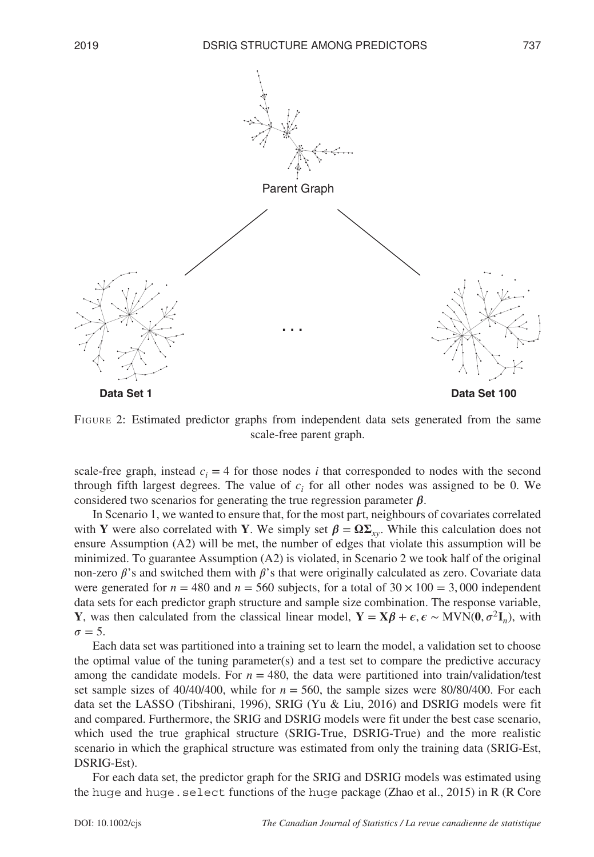

FIGURE 2: Estimated predictor graphs from independent data sets generated from the same scale-free parent graph.

scale-free graph, instead  $c_i = 4$  for those nodes *i* that corresponded to nodes with the second through fifth largest degrees. The value of  $c_i$  for all other nodes was assigned to be 0. We considered two scenarios for generating the true regression parameter  $\beta$ .

In Scenario 1, we wanted to ensure that, for the most part, neighbours of covariates correlated with Y were also correlated with Y. We simply set  $\beta = \Omega \Sigma_{xy}$ . While this calculation does not ensure Assumption (A2) will be met, the number of edges that violate this assumption will be minimized. To guarantee Assumption (A2) is violated, in Scenario 2 we took half of the original non-zero  $\beta$ 's and switched them with  $\beta$ 's that were originally calculated as zero. Covariate data were generated for  $n = 480$  and  $n = 560$  subjects, for a total of  $30 \times 100 = 3,000$  independent data sets for each predictor graph structure and sample size combination. The response variable, Y, was then calculated from the classical linear model,  $Y = X\beta + \epsilon, \epsilon \sim MVN(0, \sigma^2I_n)$ , with  $\sigma = 5.$ 

Each data set was partitioned into a training set to learn the model, a validation set to choose the optimal value of the tuning parameter(s) and a test set to compare the predictive accuracy among the candidate models. For  $n = 480$ , the data were partitioned into train/validation/test set sample sizes of  $40/40/400$ , while for  $n = 560$ , the sample sizes were  $80/80/400$ . For each data set the LASSO (Tibshirani, 1996), SRIG (Yu & Liu, 2016) and DSRIG models were fit and compared. Furthermore, the SRIG and DSRIG models were fit under the best case scenario, which used the true graphical structure (SRIG-True, DSRIG-True) and the more realistic scenario in which the graphical structure was estimated from only the training data (SRIG-Est, DSRIG-Est).

For each data set, the predictor graph for the SRIG and DSRIG models was estimated using the huge and huge.select functions of the huge package (Zhao et al., 2015) in R (R Core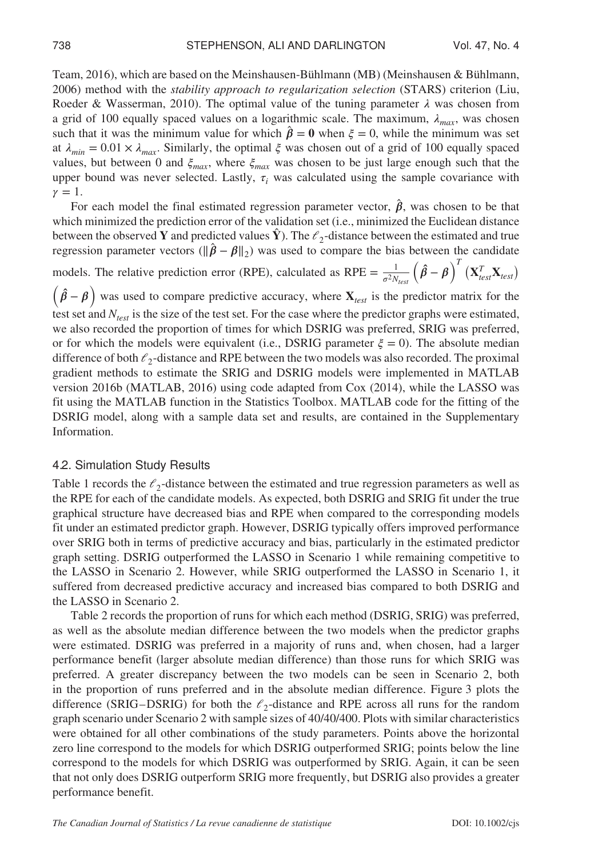Team, 2016), which are based on the Meinshausen-Bühlmann (MB) (Meinshausen & Bühlmann, 2006) method with the *stability approach to regularization selection* (STARS) criterion (Liu, Roeder & Wasserman, 2010). The optimal value of the tuning parameter  $\lambda$  was chosen from a grid of 100 equally spaced values on a logarithmic scale. The maximum,  $\lambda_{max}$ , was chosen such that it was the minimum value for which  $\hat{\beta} = 0$  when  $\xi = 0$ , while the minimum was set at  $\lambda_{min} = 0.01 \times \lambda_{max}$ . Similarly, the optimal  $\xi$  was chosen out of a grid of 100 equally spaced values, but between 0 and  $\xi_{max}$ , where  $\xi_{max}$  was chosen to be just large enough such that the upper bound was never selected. Lastly,  $\tau_i$  was calculated using the sample covariance with  $\gamma = 1$ .

For each model the final estimated regression parameter vector,  $\hat{\beta}$ , was chosen to be that which minimized the prediction error of the validation set (i.e., minimized the Euclidean distance between the observed Y and predicted values  $\hat{Y}$ ). The  $\ell_2$ -distance between the estimated and true regression parameter vectors ( $\|\hat{\boldsymbol{\beta}} - \boldsymbol{\beta}\|_2$ ) was used to compare the bias between the candidate

models. The relative prediction error (RPE), calculated as RPE =  $\frac{1}{\sigma^2 N_{test}} (\hat{\beta} - \beta)^T (X_{test}^T X_{test})$ 

 $(\hat{\beta} - \beta)$  was used to compare predictive accuracy, where  $X_{test}$  is the predictor matrix for the test set and *Ntest* is the size of the test set. For the case where the predictor graphs were estimated, we also recorded the proportion of times for which DSRIG was preferred, SRIG was preferred, or for which the models were equivalent (i.e., DSRIG parameter  $\xi = 0$ ). The absolute median difference of both  $\ell_2$ -distance and RPE between the two models was also recorded. The proximal gradient methods to estimate the SRIG and DSRIG models were implemented in MATLAB version 2016b (MATLAB, 2016) using code adapted from Cox (2014), while the LASSO was fit using the MATLAB function in the Statistics Toolbox. MATLAB code for the fitting of the DSRIG model, along with a sample data set and results, are contained in the Supplementary Information.

#### 4.2. Simulation Study Results

Table 1 records the  $\ell_2$ -distance between the estimated and true regression parameters as well as the RPE for each of the candidate models. As expected, both DSRIG and SRIG fit under the true graphical structure have decreased bias and RPE when compared to the corresponding models fit under an estimated predictor graph. However, DSRIG typically offers improved performance over SRIG both in terms of predictive accuracy and bias, particularly in the estimated predictor graph setting. DSRIG outperformed the LASSO in Scenario 1 while remaining competitive to the LASSO in Scenario 2. However, while SRIG outperformed the LASSO in Scenario 1, it suffered from decreased predictive accuracy and increased bias compared to both DSRIG and the LASSO in Scenario 2.

Table 2 records the proportion of runs for which each method (DSRIG, SRIG) was preferred, as well as the absolute median difference between the two models when the predictor graphs were estimated. DSRIG was preferred in a majority of runs and, when chosen, had a larger performance benefit (larger absolute median difference) than those runs for which SRIG was preferred. A greater discrepancy between the two models can be seen in Scenario 2, both in the proportion of runs preferred and in the absolute median difference. Figure 3 plots the difference (SRIG–DSRIG) for both the  $\ell_2$ -distance and RPE across all runs for the random graph scenario under Scenario 2 with sample sizes of 40/40/400. Plots with similar characteristics were obtained for all other combinations of the study parameters. Points above the horizontal zero line correspond to the models for which DSRIG outperformed SRIG; points below the line correspond to the models for which DSRIG was outperformed by SRIG. Again, it can be seen that not only does DSRIG outperform SRIG more frequently, but DSRIG also provides a greater performance benefit.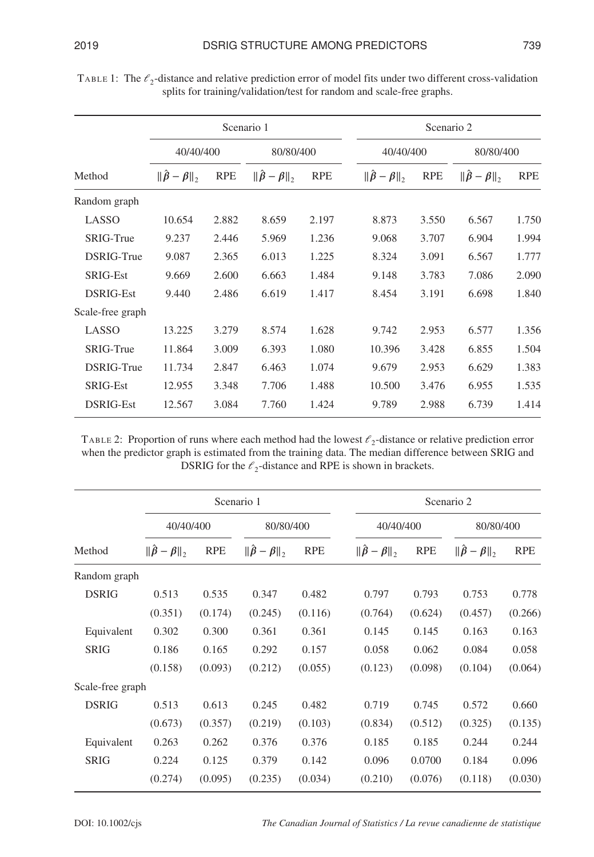|                  | Scenario 1                  |            |                                                       |            | Scenario 2                                            |            |                                                     |            |
|------------------|-----------------------------|------------|-------------------------------------------------------|------------|-------------------------------------------------------|------------|-----------------------------------------------------|------------|
| Method           | 40/40/400                   |            | 80/80/400                                             |            | 40/40/400                                             |            | 80/80/400                                           |            |
|                  | $\ \hat{\beta} - \beta\ _2$ | <b>RPE</b> | $\ \hat{\boldsymbol{\beta}} - \boldsymbol{\beta}\ _2$ | <b>RPE</b> | $\ \hat{\boldsymbol{\beta}} - \boldsymbol{\beta}\ _2$ | <b>RPE</b> | $\ \hat{\boldsymbol{\beta}}-\boldsymbol{\beta}\ _2$ | <b>RPE</b> |
| Random graph     |                             |            |                                                       |            |                                                       |            |                                                     |            |
| LASSO            | 10.654                      | 2.882      | 8.659                                                 | 2.197      | 8.873                                                 | 3.550      | 6.567                                               | 1.750      |
| SRIG-True        | 9.237                       | 2.446      | 5.969                                                 | 1.236      | 9.068                                                 | 3.707      | 6.904                                               | 1.994      |
| DSRIG-True       | 9.087                       | 2.365      | 6.013                                                 | 1.225      | 8.324                                                 | 3.091      | 6.567                                               | 1.777      |
| <b>SRIG-Est</b>  | 9.669                       | 2.600      | 6.663                                                 | 1.484      | 9.148                                                 | 3.783      | 7.086                                               | 2.090      |
| DSRIG-Est        | 9.440                       | 2.486      | 6.619                                                 | 1.417      | 8.454                                                 | 3.191      | 6.698                                               | 1.840      |
| Scale-free graph |                             |            |                                                       |            |                                                       |            |                                                     |            |
| LASSO            | 13.225                      | 3.279      | 8.574                                                 | 1.628      | 9.742                                                 | 2.953      | 6.577                                               | 1.356      |
| SRIG-True        | 11.864                      | 3.009      | 6.393                                                 | 1.080      | 10.396                                                | 3.428      | 6.855                                               | 1.504      |
| DSRIG-True       | 11.734                      | 2.847      | 6.463                                                 | 1.074      | 9.679                                                 | 2.953      | 6.629                                               | 1.383      |
| SRIG-Est         | 12.955                      | 3.348      | 7.706                                                 | 1.488      | 10.500                                                | 3.476      | 6.955                                               | 1.535      |
| <b>DSRIG-Est</b> | 12.567                      | 3.084      | 7.760                                                 | 1.424      | 9.789                                                 | 2.988      | 6.739                                               | 1.414      |

TABLE 1: The  $\ell_2$ -distance and relative prediction error of model fits under two different cross-validation splits for training/validation/test for random and scale-free graphs.

TABLE 2: Proportion of runs where each method had the lowest  $\ell_2$ -distance or relative prediction error when the predictor graph is estimated from the training data. The median difference between SRIG and DSRIG for the  $\ell_2$ -distance and RPE is shown in brackets.

|                  | Scenario 1                  |            |                             |            | Scenario 2                                            |            |                                                       |            |
|------------------|-----------------------------|------------|-----------------------------|------------|-------------------------------------------------------|------------|-------------------------------------------------------|------------|
|                  | 40/40/400                   |            | 80/80/400                   |            | 40/40/400                                             |            | 80/80/400                                             |            |
| Method           | $\ \hat{\beta} - \beta\ _2$ | <b>RPE</b> | $\ \hat{\beta} - \beta\ _2$ | <b>RPE</b> | $\ \hat{\boldsymbol{\beta}} - \boldsymbol{\beta}\ _2$ | <b>RPE</b> | $\ \hat{\boldsymbol{\beta}} - \boldsymbol{\beta}\ _2$ | <b>RPE</b> |
| Random graph     |                             |            |                             |            |                                                       |            |                                                       |            |
| <b>DSRIG</b>     | 0.513                       | 0.535      | 0.347                       | 0.482      | 0.797                                                 | 0.793      | 0.753                                                 | 0.778      |
|                  | (0.351)                     | (0.174)    | (0.245)                     | (0.116)    | (0.764)                                               | (0.624)    | (0.457)                                               | (0.266)    |
| Equivalent       | 0.302                       | 0.300      | 0.361                       | 0.361      | 0.145                                                 | 0.145      | 0.163                                                 | 0.163      |
| <b>SRIG</b>      | 0.186                       | 0.165      | 0.292                       | 0.157      | 0.058                                                 | 0.062      | 0.084                                                 | 0.058      |
|                  | (0.158)                     | (0.093)    | (0.212)                     | (0.055)    | (0.123)                                               | (0.098)    | (0.104)                                               | (0.064)    |
| Scale-free graph |                             |            |                             |            |                                                       |            |                                                       |            |
| <b>DSRIG</b>     | 0.513                       | 0.613      | 0.245                       | 0.482      | 0.719                                                 | 0.745      | 0.572                                                 | 0.660      |
|                  | (0.673)                     | (0.357)    | (0.219)                     | (0.103)    | (0.834)                                               | (0.512)    | (0.325)                                               | (0.135)    |
| Equivalent       | 0.263                       | 0.262      | 0.376                       | 0.376      | 0.185                                                 | 0.185      | 0.244                                                 | 0.244      |
| <b>SRIG</b>      | 0.224                       | 0.125      | 0.379                       | 0.142      | 0.096                                                 | 0.0700     | 0.184                                                 | 0.096      |
|                  | (0.274)                     | (0.095)    | (0.235)                     | (0.034)    | (0.210)                                               | (0.076)    | (0.118)                                               | (0.030)    |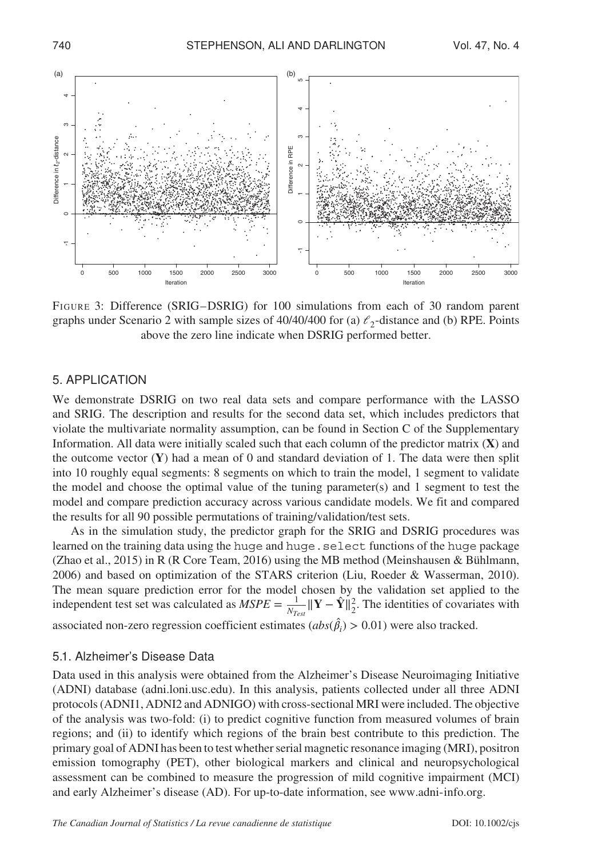

FIGURE 3: Difference (SRIG–DSRIG) for 100 simulations from each of 30 random parent graphs under Scenario 2 with sample sizes of  $40/40/400$  for (a)  $\ell_2$ -distance and (b) RPE. Points above the zero line indicate when DSRIG performed better.

## 5. APPLICATION

We demonstrate DSRIG on two real data sets and compare performance with the LASSO and SRIG. The description and results for the second data set, which includes predictors that violate the multivariate normality assumption, can be found in Section C of the Supplementary Information. All data were initially scaled such that each column of the predictor matrix  $(X)$  and the outcome vector  $(Y)$  had a mean of 0 and standard deviation of 1. The data were then split into 10 roughly equal segments: 8 segments on which to train the model, 1 segment to validate the model and choose the optimal value of the tuning parameter(s) and 1 segment to test the model and compare prediction accuracy across various candidate models. We fit and compared the results for all 90 possible permutations of training/validation/test sets.

As in the simulation study, the predictor graph for the SRIG and DSRIG procedures was learned on the training data using the huge and huge. select functions of the huge package (Zhao et al., 2015) in R (R Core Team, 2016) using the MB method (Meinshausen & Bühlmann, 2006) and based on optimization of the STARS criterion (Liu, Roeder & Wasserman, 2010). The mean square prediction error for the model chosen by the validation set applied to the independent test set was calculated as  $MSPE = \frac{1}{N_{Test}} ||\mathbf{Y} - \hat{\mathbf{Y}}||_2^2$ . The identities of covariates with associated non-zero regression coefficient estimates  $(abs(\hat{\beta}_i) > 0.01)$  were also tracked.

## 5.1. Alzheimer's Disease Data

Data used in this analysis were obtained from the Alzheimer's Disease Neuroimaging Initiative (ADNI) database [\(adni.loni.usc.edu\)](adni.loni.usc.edu). In this analysis, patients collected under all three ADNI protocols (ADNI1, ADNI2 and ADNIGO) with cross-sectional MRI were included. The objective of the analysis was two-fold: (i) to predict cognitive function from measured volumes of brain regions; and (ii) to identify which regions of the brain best contribute to this prediction. The primary goal of ADNI has been to test whether serial magnetic resonance imaging (MRI), positron emission tomography (PET), other biological markers and clinical and neuropsychological assessment can be combined to measure the progression of mild cognitive impairment (MCI) and early Alzheimer's disease (AD). For up-to-date information, see [www.adni-info.org.](www.adni-info.org)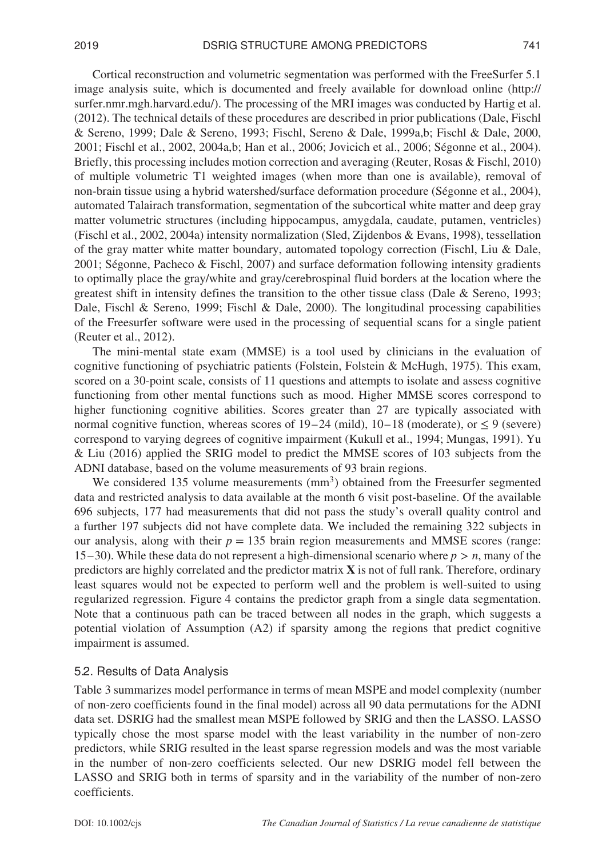Cortical reconstruction and volumetric segmentation was performed with the FreeSurfer 5.1 image analysis suite, which is documented and freely available for download online [\(http://](http://surfer.nmr.mgh.harvard.edu/) [surfer.nmr.mgh.harvard.edu/\)](http://surfer.nmr.mgh.harvard.edu/). The processing of the MRI images was conducted by Hartig et al. (2012). The technical details of these procedures are described in prior publications (Dale, Fischl & Sereno, 1999; Dale & Sereno, 1993; Fischl, Sereno & Dale, 1999a,b; Fischl & Dale, 2000, 2001; Fischl et al., 2002, 2004a,b; Han et al., 2006; Jovicich et al., 2006; Ségonne et al., 2004). Briefly, this processing includes motion correction and averaging (Reuter, Rosas & Fischl, 2010) of multiple volumetric T1 weighted images (when more than one is available), removal of non-brain tissue using a hybrid watershed/surface deformation procedure (Ségonne et al., 2004), automated Talairach transformation, segmentation of the subcortical white matter and deep gray matter volumetric structures (including hippocampus, amygdala, caudate, putamen, ventricles) (Fischl et al., 2002, 2004a) intensity normalization (Sled, Zijdenbos & Evans, 1998), tessellation of the gray matter white matter boundary, automated topology correction (Fischl, Liu & Dale, 2001; Ségonne, Pacheco & Fischl, 2007) and surface deformation following intensity gradients to optimally place the gray/white and gray/cerebrospinal fluid borders at the location where the greatest shift in intensity defines the transition to the other tissue class (Dale & Sereno, 1993; Dale, Fischl & Sereno, 1999; Fischl & Dale, 2000). The longitudinal processing capabilities of the Freesurfer software were used in the processing of sequential scans for a single patient

(Reuter et al., 2012).

The mini-mental state exam (MMSE) is a tool used by clinicians in the evaluation of cognitive functioning of psychiatric patients (Folstein, Folstein & McHugh, 1975). This exam, scored on a 30-point scale, consists of 11 questions and attempts to isolate and assess cognitive functioning from other mental functions such as mood. Higher MMSE scores correspond to higher functioning cognitive abilities. Scores greater than 27 are typically associated with normal cognitive function, whereas scores of  $19-24$  (mild),  $10-18$  (moderate), or  $\leq 9$  (severe) correspond to varying degrees of cognitive impairment (Kukull et al., 1994; Mungas, 1991). Yu & Liu (2016) applied the SRIG model to predict the MMSE scores of 103 subjects from the ADNI database, based on the volume measurements of 93 brain regions.

We considered 135 volume measurements (mm<sup>3</sup>) obtained from the Freesurfer segmented data and restricted analysis to data available at the month 6 visit post-baseline. Of the available 696 subjects, 177 had measurements that did not pass the study's overall quality control and a further 197 subjects did not have complete data. We included the remaining 322 subjects in our analysis, along with their  $p = 135$  brain region measurements and MMSE scores (range: 15–30). While these data do not represent a high-dimensional scenario where *p > n*, many of the predictors are highly correlated and the predictor matrix  $\bf{X}$  is not of full rank. Therefore, ordinary least squares would not be expected to perform well and the problem is well-suited to using regularized regression. Figure 4 contains the predictor graph from a single data segmentation. Note that a continuous path can be traced between all nodes in the graph, which suggests a potential violation of Assumption (A2) if sparsity among the regions that predict cognitive impairment is assumed.

## 5.2. Results of Data Analysis

Table 3 summarizes model performance in terms of mean MSPE and model complexity (number of non-zero coefficients found in the final model) across all 90 data permutations for the ADNI data set. DSRIG had the smallest mean MSPE followed by SRIG and then the LASSO. LASSO typically chose the most sparse model with the least variability in the number of non-zero predictors, while SRIG resulted in the least sparse regression models and was the most variable in the number of non-zero coefficients selected. Our new DSRIG model fell between the LASSO and SRIG both in terms of sparsity and in the variability of the number of non-zero coefficients.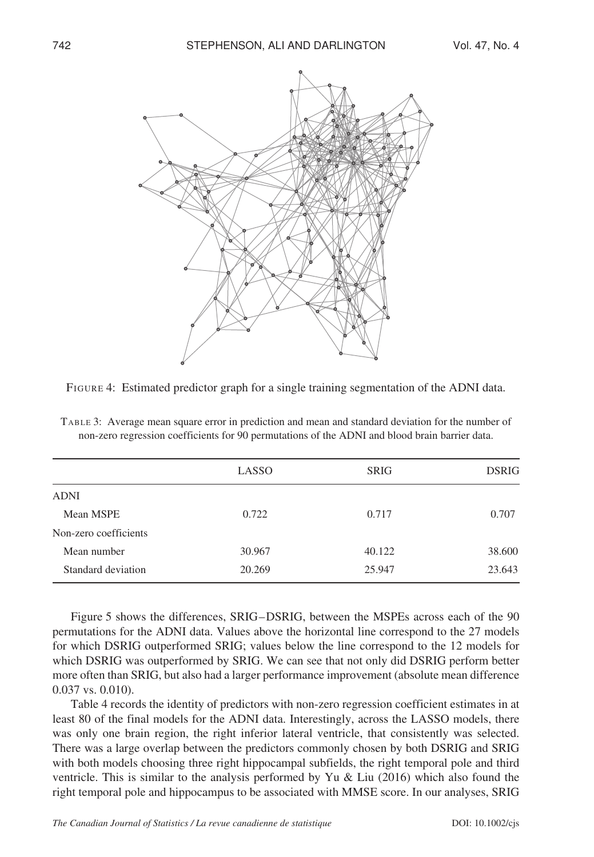

FIGURE 4: Estimated predictor graph for a single training segmentation of the ADNI data.

|                       | LASSO  | <b>SRIG</b> | <b>DSRIG</b> |
|-----------------------|--------|-------------|--------------|
| <b>ADNI</b>           |        |             |              |
| Mean MSPE             | 0.722  | 0.717       | 0.707        |
| Non-zero coefficients |        |             |              |
| Mean number           | 30.967 | 40.122      | 38.600       |
| Standard deviation    | 20.269 | 25.947      | 23.643       |
|                       |        |             |              |

TABLE 3: Average mean square error in prediction and mean and standard deviation for the number of non-zero regression coefficients for 90 permutations of the ADNI and blood brain barrier data.

Figure 5 shows the differences, SRIG–DSRIG, between the MSPEs across each of the 90 permutations for the ADNI data. Values above the horizontal line correspond to the 27 models for which DSRIG outperformed SRIG; values below the line correspond to the 12 models for which DSRIG was outperformed by SRIG. We can see that not only did DSRIG perform better more often than SRIG, but also had a larger performance improvement (absolute mean difference 0.037 vs. 0.010).

Table 4 records the identity of predictors with non-zero regression coefficient estimates in at least 80 of the final models for the ADNI data. Interestingly, across the LASSO models, there was only one brain region, the right inferior lateral ventricle, that consistently was selected. There was a large overlap between the predictors commonly chosen by both DSRIG and SRIG with both models choosing three right hippocampal subfields, the right temporal pole and third ventricle. This is similar to the analysis performed by Yu & Liu (2016) which also found the right temporal pole and hippocampus to be associated with MMSE score. In our analyses, SRIG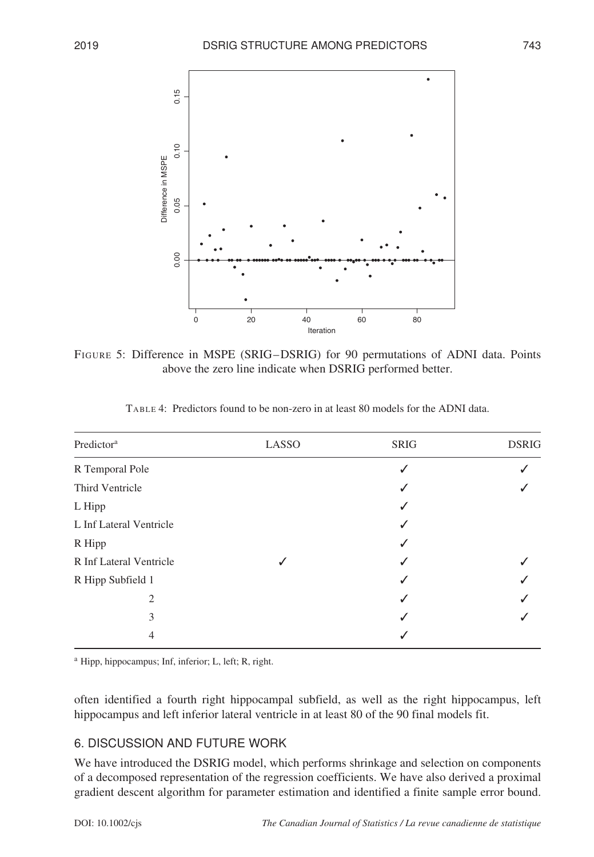

FIGURE 5: Difference in MSPE (SRIG–DSRIG) for 90 permutations of ADNI data. Points above the zero line indicate when DSRIG performed better.

| Predictor <sup>a</sup>  | LASSO | <b>SRIG</b> | <b>DSRIG</b> |
|-------------------------|-------|-------------|--------------|
| R Temporal Pole         |       | √           |              |
| Third Ventricle         |       | √           |              |
| L Hipp                  |       | √           |              |
| L Inf Lateral Ventricle |       | √           |              |
| R Hipp                  |       | √           |              |
| R Inf Lateral Ventricle |       | ↵           |              |
| R Hipp Subfield 1       |       | √           |              |
| 2                       |       | √           |              |
| 3                       |       | √           |              |
| 4                       |       | ↵           |              |

TABLE 4: Predictors found to be non-zero in at least 80 models for the ADNI data.

<sup>a</sup> Hipp, hippocampus; Inf, inferior; L, left; R, right.

often identified a fourth right hippocampal subfield, as well as the right hippocampus, left hippocampus and left inferior lateral ventricle in at least 80 of the 90 final models fit.

# 6. DISCUSSION AND FUTURE WORK

We have introduced the DSRIG model, which performs shrinkage and selection on components of a decomposed representation of the regression coefficients. We have also derived a proximal gradient descent algorithm for parameter estimation and identified a finite sample error bound.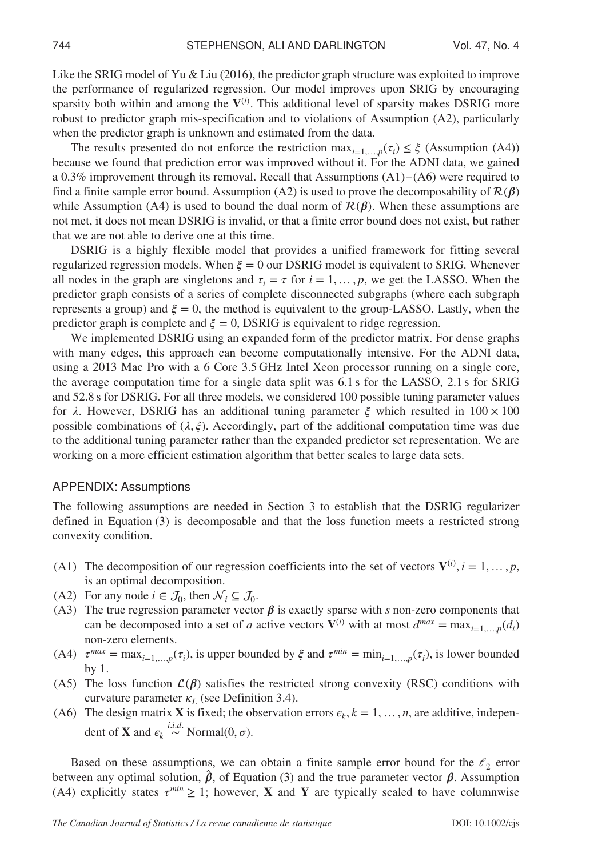Like the SRIG model of Yu & Liu (2016), the predictor graph structure was exploited to improve the performance of regularized regression. Our model improves upon SRIG by encouraging sparsity both within and among the  $V^{(i)}$ . This additional level of sparsity makes DSRIG more robust to predictor graph mis-specification and to violations of Assumption (A2), particularly when the predictor graph is unknown and estimated from the data.

The results presented do not enforce the restriction  $\max_{i=1,\dots,p}(\tau_i) \leq \xi$  (Assumption (A4)) because we found that prediction error was improved without it. For the ADNI data, we gained a 0.3% improvement through its removal. Recall that Assumptions (A1)– (A6) were required to find a finite sample error bound. Assumption (A2) is used to prove the decomposability of  $\mathcal{R}(\beta)$ while Assumption (A4) is used to bound the dual norm of  $\mathcal{R}(\beta)$ . When these assumptions are not met, it does not mean DSRIG is invalid, or that a finite error bound does not exist, but rather that we are not able to derive one at this time.

DSRIG is a highly flexible model that provides a unified framework for fitting several regularized regression models. When  $\xi = 0$  our DSRIG model is equivalent to SRIG. Whenever all nodes in the graph are singletons and  $\tau_i = \tau$  for  $i = 1, \ldots, p$ , we get the LASSO. When the predictor graph consists of a series of complete disconnected subgraphs (where each subgraph represents a group) and  $\xi = 0$ , the method is equivalent to the group-LASSO. Lastly, when the predictor graph is complete and  $\xi = 0$ , DSRIG is equivalent to ridge regression.

We implemented DSRIG using an expanded form of the predictor matrix. For dense graphs with many edges, this approach can become computationally intensive. For the ADNI data, using a 2013 Mac Pro with a 6 Core 3.5 GHz Intel Xeon processor running on a single core, the average computation time for a single data split was 6.1 s for the LASSO, 2.1 s for SRIG and 52.8 s for DSRIG. For all three models, we considered 100 possible tuning parameter values for  $\lambda$ . However, DSRIG has an additional tuning parameter  $\xi$  which resulted in  $100 \times 100$ possible combinations of  $(\lambda, \xi)$ . Accordingly, part of the additional computation time was due to the additional tuning parameter rather than the expanded predictor set representation. We are working on a more efficient estimation algorithm that better scales to large data sets.

#### APPENDIX: Assumptions

The following assumptions are needed in Section 3 to establish that the DSRIG regularizer defined in Equation (3) is decomposable and that the loss function meets a restricted strong convexity condition.

- (A1) The decomposition of our regression coefficients into the set of vectors  $V^{(i)}$ ,  $i = 1, ..., p$ , is an optimal decomposition.
- (A2) For any node  $i \in \mathcal{J}_0$ , then  $\mathcal{N}_i \subseteq \mathcal{J}_0$ .
- (A3) The true regression parameter vector  $\beta$  is exactly sparse with *s* non-zero components that can be decomposed into a set of *a* active vectors  $\mathbf{V}^{(i)}$  with at most  $d^{max} = \max_{i=1}$ ,  $p(d_i)$ non-zero elements.
- (A4)  $\tau^{max} = \max_{i=1,\dots,p}(\tau_i)$ , is upper bounded by  $\xi$  and  $\tau^{min} = \min_{i=1,\dots,p}(\tau_i)$ , is lower bounded by 1.
- (A5) The loss function  $\mathcal{L}(\beta)$  satisfies the restricted strong convexity (RSC) conditions with curvature parameter  $\kappa_L$  (see Definition 3.4).
- (A6) The design matrix **X** is fixed; the observation errors  $\epsilon_k$ ,  $k = 1, \ldots, n$ , are additive, independent of **X** and  $\epsilon_k \stackrel{i.i.d.}{\sim} \text{Normal}(0, \sigma)$ .

Based on these assumptions, we can obtain a finite sample error bound for the  $\ell_2$  error between any optimal solution,  $\hat{\beta}$ , of Equation (3) and the true parameter vector  $\beta$ . Assumption (A4) explicitly states  $\tau^{min} \geq 1$ ; however, **X** and **Y** are typically scaled to have columnwise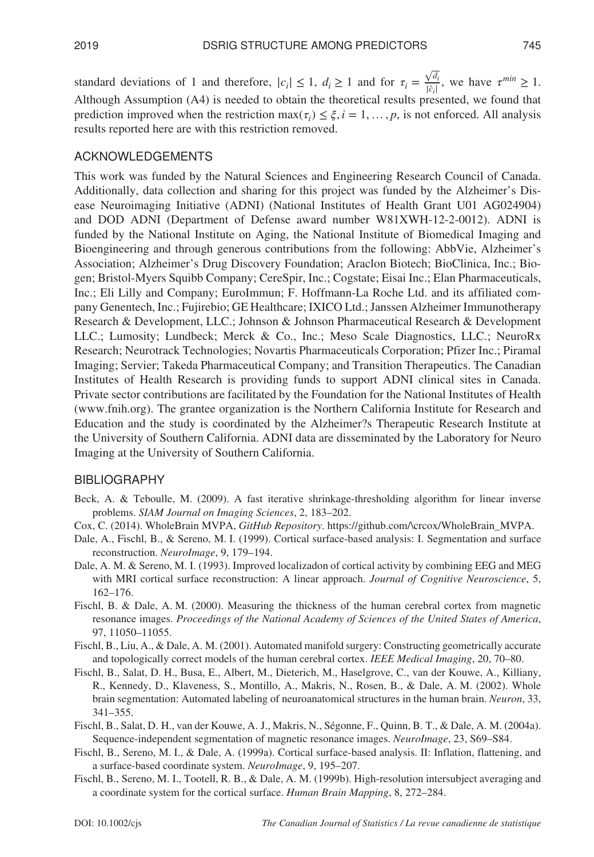standard deviations of 1 and therefore,  $|c_i| \le 1$ ,  $d_i \ge 1$  and for  $\tau_i = \frac{\sqrt{d_i}}{|\hat{c}_i|}$ |*ĉi*| , we have  $\tau^{min} \geq 1$ . Although Assumption (A4) is needed to obtain the theoretical results presented, we found that prediction improved when the restriction  $\max(\tau_i) \leq \xi, i = 1, \ldots, p$ , is not enforced. All analysis results reported here are with this restriction removed.

## ACKNOWLEDGEMENTS

This work was funded by the Natural Sciences and Engineering Research Council of Canada. Additionally, data collection and sharing for this project was funded by the Alzheimer's Disease Neuroimaging Initiative (ADNI) (National Institutes of Health Grant U01 AG024904) and DOD ADNI (Department of Defense award number W81XWH-12-2-0012). ADNI is funded by the National Institute on Aging, the National Institute of Biomedical Imaging and Bioengineering and through generous contributions from the following: AbbVie, Alzheimer's Association; Alzheimer's Drug Discovery Foundation; Araclon Biotech; BioClinica, Inc.; Biogen; Bristol-Myers Squibb Company; CereSpir, Inc.; Cogstate; Eisai Inc.; Elan Pharmaceuticals, Inc.; Eli Lilly and Company; EuroImmun; F. Hoffmann-La Roche Ltd. and its affiliated company Genentech, Inc.; Fujirebio; GE Healthcare; IXICO Ltd.; Janssen Alzheimer Immunotherapy Research & Development, LLC.; Johnson & Johnson Pharmaceutical Research & Development LLC.; Lumosity; Lundbeck; Merck & Co., Inc.; Meso Scale Diagnostics, LLC.; NeuroRx Research; Neurotrack Technologies; Novartis Pharmaceuticals Corporation; Pfizer Inc.; Piramal Imaging; Servier; Takeda Pharmaceutical Company; and Transition Therapeutics. The Canadian Institutes of Health Research is providing funds to support ADNI clinical sites in Canada. Private sector contributions are facilitated by the Foundation for the National Institutes of Health [\(www.fnih.org\)](www.fnih.org). The grantee organization is the Northern California Institute for Research and Education and the study is coordinated by the Alzheimer?s Therapeutic Research Institute at the University of Southern California. ADNI data are disseminated by the Laboratory for Neuro Imaging at the University of Southern California.

#### **BIBLIOGRAPHY**

- Beck, A. & Teboulle, M. (2009). A fast iterative shrinkage-thresholding algorithm for linear inverse problems. *SIAM Journal on Imaging Sciences*, 2, 183–202.
- Cox, C. (2014). WholeBrain MVPA, *GitHub Repository*. [https://github.com/\crcox/WholeBrain\\_MVPA.](https://github.com/crcox/WholeBrain_MVPA)
- Dale, A., Fischl, B., & Sereno, M. I. (1999). Cortical surface-based analysis: I. Segmentation and surface reconstruction. *NeuroImage*, 9, 179–194.
- Dale, A. M. & Sereno, M. I. (1993). Improved localizadon of cortical activity by combining EEG and MEG with MRI cortical surface reconstruction: A linear approach. *Journal of Cognitive Neuroscience*, 5, 162–176.
- Fischl, B. & Dale, A. M. (2000). Measuring the thickness of the human cerebral cortex from magnetic resonance images. *Proceedings of the National Academy of Sciences of the United States of America*, 97, 11050–11055.
- Fischl, B., Liu, A., & Dale, A. M. (2001). Automated manifold surgery: Constructing geometrically accurate and topologically correct models of the human cerebral cortex. *IEEE Medical Imaging*, 20, 70–80.
- Fischl, B., Salat, D. H., Busa, E., Albert, M., Dieterich, M., Haselgrove, C., van der Kouwe, A., Killiany, R., Kennedy, D., Klaveness, S., Montillo, A., Makris, N., Rosen, B., & Dale, A. M. (2002). Whole brain segmentation: Automated labeling of neuroanatomical structures in the human brain. *Neuron*, 33, 341–355.
- Fischl, B., Salat, D. H., van der Kouwe, A. J., Makris, N., Ségonne, F., Quinn, B. T., & Dale, A. M. (2004a). Sequence-independent segmentation of magnetic resonance images. *NeuroImage*, 23, S69–S84.
- Fischl, B., Sereno, M. I., & Dale, A. (1999a). Cortical surface-based analysis. II: Inflation, flattening, and a surface-based coordinate system. *NeuroImage*, 9, 195–207.
- Fischl, B., Sereno, M. I., Tootell, R. B., & Dale, A. M. (1999b). High-resolution intersubject averaging and a coordinate system for the cortical surface. *Human Brain Mapping*, 8, 272–284.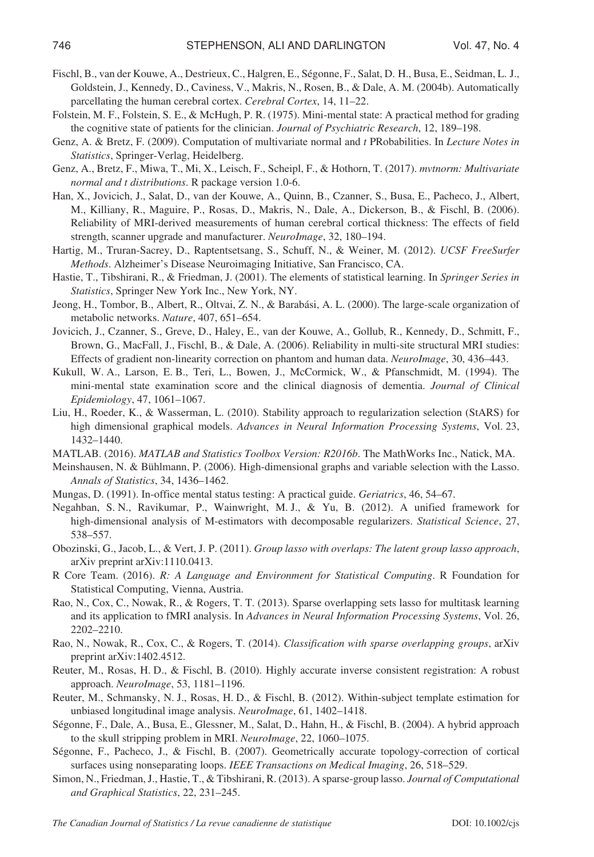- Fischl, B., van der Kouwe, A., Destrieux, C., Halgren, E., Ségonne, F., Salat, D. H., Busa, E., Seidman, L. J., Goldstein, J., Kennedy, D., Caviness, V., Makris, N., Rosen, B., & Dale, A. M. (2004b). Automatically parcellating the human cerebral cortex. *Cerebral Cortex*, 14, 11–22.
- Folstein, M. F., Folstein, S. E., & McHugh, P. R. (1975). Mini-mental state: A practical method for grading the cognitive state of patients for the clinician. *Journal of Psychiatric Research*, 12, 189–198.
- Genz, A. & Bretz, F. (2009). Computation of multivariate normal and *t* PRobabilities. In *Lecture Notes in Statistics*, Springer-Verlag, Heidelberg.
- Genz, A., Bretz, F., Miwa, T., Mi, X., Leisch, F., Scheipl, F., & Hothorn, T. (2017). *mvtnorm: Multivariate normal and t distributions*. R package version 1.0-6.
- Han, X., Jovicich, J., Salat, D., van der Kouwe, A., Quinn, B., Czanner, S., Busa, E., Pacheco, J., Albert, M., Killiany, R., Maguire, P., Rosas, D., Makris, N., Dale, A., Dickerson, B., & Fischl, B. (2006). Reliability of MRI-derived measurements of human cerebral cortical thickness: The effects of field strength, scanner upgrade and manufacturer. *NeuroImage*, 32, 180–194.
- Hartig, M., Truran-Sacrey, D., Raptentsetsang, S., Schuff, N., & Weiner, M. (2012). *UCSF FreeSurfer Methods*. Alzheimer's Disease Neuroimaging Initiative, San Francisco, CA.
- Hastie, T., Tibshirani, R., & Friedman, J. (2001). The elements of statistical learning. In *Springer Series in Statistics*, Springer New York Inc., New York, NY.
- Jeong, H., Tombor, B., Albert, R., Oltvai, Z. N., & Barabási, A. L. (2000). The large-scale organization of metabolic networks. *Nature*, 407, 651–654.
- Jovicich, J., Czanner, S., Greve, D., Haley, E., van der Kouwe, A., Gollub, R., Kennedy, D., Schmitt, F., Brown, G., MacFall, J., Fischl, B., & Dale, A. (2006). Reliability in multi-site structural MRI studies: Effects of gradient non-linearity correction on phantom and human data. *NeuroImage*, 30, 436–443.
- Kukull, W. A., Larson, E. B., Teri, L., Bowen, J., McCormick, W., & Pfanschmidt, M. (1994). The mini-mental state examination score and the clinical diagnosis of dementia. *Journal of Clinical Epidemiology*, 47, 1061–1067.
- Liu, H., Roeder, K., & Wasserman, L. (2010). Stability approach to regularization selection (StARS) for high dimensional graphical models. *Advances in Neural Information Processing Systems*, Vol. 23, 1432–1440.
- MATLAB. (2016). *MATLAB and Statistics Toolbox Version: R2016b*. The MathWorks Inc., Natick, MA.
- Meinshausen, N. & Bühlmann, P. (2006). High-dimensional graphs and variable selection with the Lasso. *Annals of Statistics*, 34, 1436–1462.
- Mungas, D. (1991). In-office mental status testing: A practical guide. *Geriatrics*, 46, 54–67.
- Negahban, S. N., Ravikumar, P., Wainwright, M. J., & Yu, B. (2012). A unified framework for high-dimensional analysis of M-estimators with decomposable regularizers. *Statistical Science*, 27, 538–557.
- Obozinski, G., Jacob, L., & Vert, J. P. (2011). *Group lasso with overlaps: The latent group lasso approach*, arXiv preprint arXiv:1110.0413.
- R Core Team. (2016). *R: A Language and Environment for Statistical Computing*. R Foundation for Statistical Computing, Vienna, Austria.
- Rao, N., Cox, C., Nowak, R., & Rogers, T. T. (2013). Sparse overlapping sets lasso for multitask learning and its application to fMRI analysis. In *Advances in Neural Information Processing Systems*, Vol. 26, 2202–2210.
- Rao, N., Nowak, R., Cox, C., & Rogers, T. (2014). *Classification with sparse overlapping groups*, arXiv preprint arXiv:1402.4512.
- Reuter, M., Rosas, H. D., & Fischl, B. (2010). Highly accurate inverse consistent registration: A robust approach. *NeuroImage*, 53, 1181–1196.
- Reuter, M., Schmansky, N. J., Rosas, H. D., & Fischl, B. (2012). Within-subject template estimation for unbiased longitudinal image analysis. *NeuroImage*, 61, 1402–1418.
- Ségonne, F., Dale, A., Busa, E., Glessner, M., Salat, D., Hahn, H., & Fischl, B. (2004). A hybrid approach to the skull stripping problem in MRI. *NeuroImage*, 22, 1060–1075.
- Ségonne, F., Pacheco, J., & Fischl, B. (2007). Geometrically accurate topology-correction of cortical surfaces using nonseparating loops. *IEEE Transactions on Medical Imaging*, 26, 518–529.
- Simon, N., Friedman, J., Hastie, T., & Tibshirani, R. (2013). A sparse-group lasso. *Journal of Computational and Graphical Statistics*, 22, 231–245.